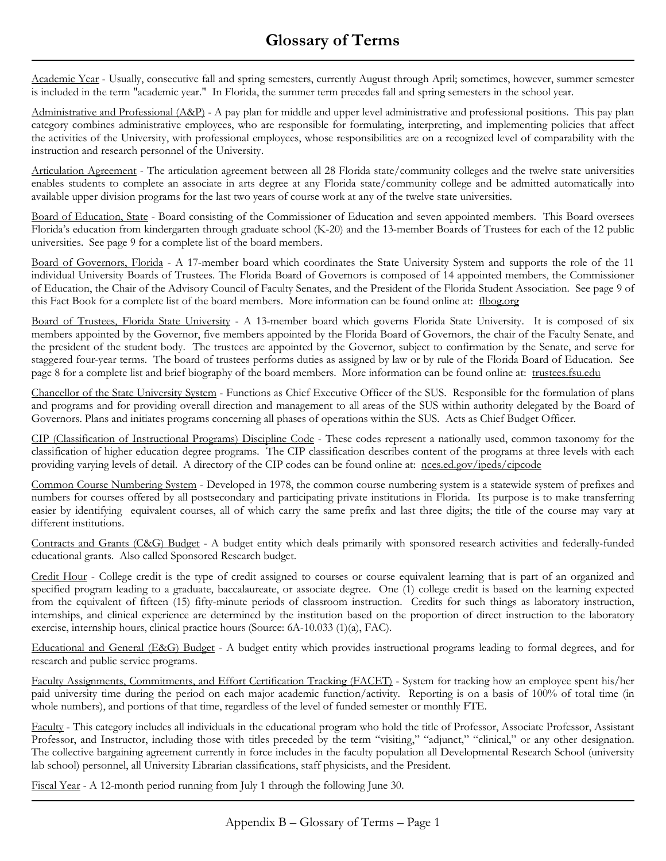## **Glossary of Terms**

Academic Year - Usually, consecutive fall and spring semesters, currently August through April; sometimes, however, summer semester is included in the term "academic year." In Florida, the summer term precedes fall and spring semesters in the school year.

Administrative and Professional (A&P) - A pay plan for middle and upper level administrative and professional positions. This pay plan category combines administrative employees, who are responsible for formulating, interpreting, and implementing policies that affect the activities of the University, with professional employees, whose responsibilities are on a recognized level of comparability with the instruction and research personnel of the University.

Articulation Agreement - The articulation agreement between all 28 Florida state/community colleges and the twelve state universities enables students to complete an associate in arts degree at any Florida state/community college and be admitted automatically into available upper division programs for the last two years of course work at any of the twelve state universities.

Board of Education, State - Board consisting of the Commissioner of Education and seven appointed members. This Board oversees Florida's education from kindergarten through graduate school (K-20) and the 13-member Boards of Trustees for each of the 12 public universities. See page 9 for a complete list of the board members.

Board of Governors, Florida - A 17-member board which coordinates the State University System and supports the role of the 11 individual University Boards of Trustees. The Florida Board of Governors is composed of 14 appointed members, the Commissioner of Education, the Chair of the Advisory Council of Faculty Senates, and the President of the Florida Student Association. See page 9 of this Fact Book for a complete list of the board members. More information can be found online at: flbog.org

Board of Trustees, Florida State University - A 13-member board which governs Florida State University. It is composed of six members appointed by the Governor, five members appointed by the Florida Board of Governors, the chair of the Faculty Senate, and the president of the student body. The trustees are appointed by the Governor, subject to confirmation by the Senate, and serve for staggered four-year terms. The board of trustees performs duties as assigned by law or by rule of the Florida Board of Education. See page 8 for a complete list and brief biography of the board members. More information can be found online at: trustees.fsu.edu

Chancellor of the State University System - Functions as Chief Executive Officer of the SUS. Responsible for the formulation of plans and programs and for providing overall direction and management to all areas of the SUS within authority delegated by the Board of Governors. Plans and initiates programs concerning all phases of operations within the SUS. Acts as Chief Budget Officer.

CIP (Classification of Instructional Programs) Discipline Code - These codes represent a nationally used, common taxonomy for the classification of higher education degree programs. The CIP classification describes content of the programs at three levels with each providing varying levels of detail. A directory of the CIP codes can be found online at: nces.ed.gov/ipeds/cipcode

Common Course Numbering System - Developed in 1978, the common course numbering system is a statewide system of prefixes and numbers for courses offered by all postsecondary and participating private institutions in Florida. Its purpose is to make transferring easier by identifying equivalent courses, all of which carry the same prefix and last three digits; the title of the course may vary at different institutions.

Contracts and Grants (C&G) Budget - A budget entity which deals primarily with sponsored research activities and federally-funded educational grants. Also called Sponsored Research budget.

Credit Hour - College credit is the type of credit assigned to courses or course equivalent learning that is part of an organized and specified program leading to a graduate, baccalaureate, or associate degree. One (1) college credit is based on the learning expected from the equivalent of fifteen (15) fifty-minute periods of classroom instruction. Credits for such things as laboratory instruction, internships, and clinical experience are determined by the institution based on the proportion of direct instruction to the laboratory exercise, internship hours, clinical practice hours (Source: 6A-10.033 (1)(a), FAC).

Educational and General (E&G) Budget - A budget entity which provides instructional programs leading to formal degrees, and for research and public service programs.

Faculty Assignments, Commitments, and Effort Certification Tracking (FACET) - System for tracking how an employee spent his/her paid university time during the period on each major academic function/activity. Reporting is on a basis of 100% of total time (in whole numbers), and portions of that time, regardless of the level of funded semester or monthly FTE.

Faculty - This category includes all individuals in the educational program who hold the title of Professor, Associate Professor, Assistant Professor, and Instructor, including those with titles preceded by the term "visiting," "adjunct," "clinical," or any other designation. The collective bargaining agreement currently in force includes in the faculty population all Developmental Research School (university lab school) personnel, all University Librarian classifications, staff physicists, and the President.

Fiscal Year - A 12-month period running from July 1 through the following June 30.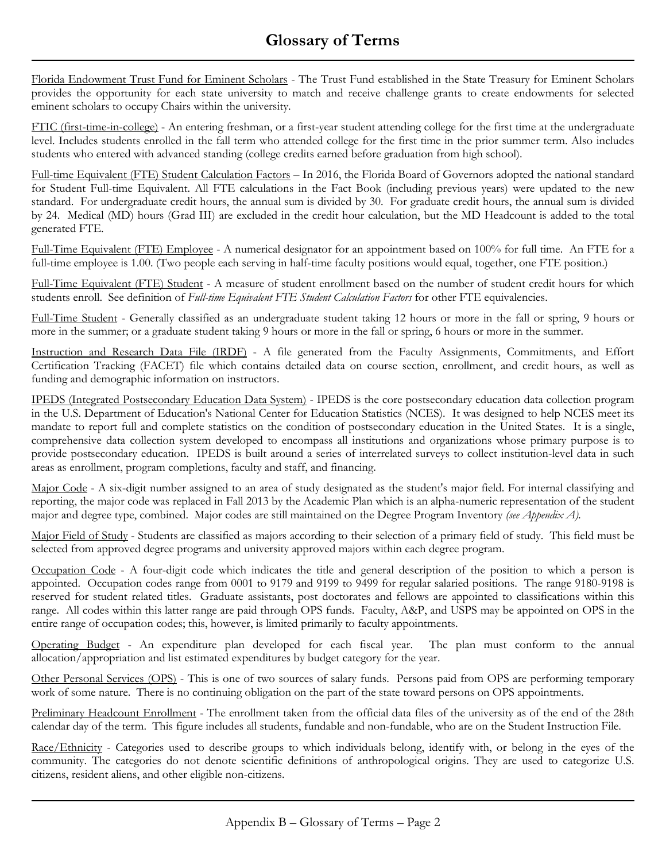Florida Endowment Trust Fund for Eminent Scholars - The Trust Fund established in the State Treasury for Eminent Scholars provides the opportunity for each state university to match and receive challenge grants to create endowments for selected eminent scholars to occupy Chairs within the university.

FTIC (first-time-in-college) - An entering freshman, or a first-year student attending college for the first time at the undergraduate level. Includes students enrolled in the fall term who attended college for the first time in the prior summer term. Also includes students who entered with advanced standing (college credits earned before graduation from high school).

Full-time Equivalent (FTE) Student Calculation Factors – In 2016, the Florida Board of Governors adopted the national standard for Student Full-time Equivalent. All FTE calculations in the Fact Book (including previous years) were updated to the new standard. For undergraduate credit hours, the annual sum is divided by 30. For graduate credit hours, the annual sum is divided by 24. Medical (MD) hours (Grad III) are excluded in the credit hour calculation, but the MD Headcount is added to the total generated FTE.

Full-Time Equivalent (FTE) Employee - A numerical designator for an appointment based on 100% for full time. An FTE for a full-time employee is 1.00. (Two people each serving in half-time faculty positions would equal, together, one FTE position.)

Full-Time Equivalent (FTE) Student - A measure of student enrollment based on the number of student credit hours for which students enroll. See definition of *Full-time Equivalent FTE Student Calculation Factors* for other FTE equivalencies.

Full-Time Student - Generally classified as an undergraduate student taking 12 hours or more in the fall or spring, 9 hours or more in the summer; or a graduate student taking 9 hours or more in the fall or spring, 6 hours or more in the summer.

Instruction and Research Data File (IRDF) - A file generated from the Faculty Assignments, Commitments, and Effort Certification Tracking (FACET) file which contains detailed data on course section, enrollment, and credit hours, as well as funding and demographic information on instructors.

IPEDS (Integrated Postsecondary Education Data System) - IPEDS is the core postsecondary education data collection program in the U.S. Department of Education's National Center for Education Statistics (NCES). It was designed to help NCES meet its mandate to report full and complete statistics on the condition of postsecondary education in the United States. It is a single, comprehensive data collection system developed to encompass all institutions and organizations whose primary purpose is to provide postsecondary education. IPEDS is built around a series of interrelated surveys to collect institution-level data in such areas as enrollment, program completions, faculty and staff, and financing.

Major Code - A six-digit number assigned to an area of study designated as the student's major field. For internal classifying and reporting, the major code was replaced in Fall 2013 by the Academic Plan which is an alpha-numeric representation of the student major and degree type, combined. Major codes are still maintained on the Degree Program Inventory *(see Appendix A).*

Major Field of Study - Students are classified as majors according to their selection of a primary field of study. This field must be selected from approved degree programs and university approved majors within each degree program.

Occupation Code - A four-digit code which indicates the title and general description of the position to which a person is appointed. Occupation codes range from 0001 to 9179 and 9199 to 9499 for regular salaried positions. The range 9180-9198 is reserved for student related titles. Graduate assistants, post doctorates and fellows are appointed to classifications within this range. All codes within this latter range are paid through OPS funds. Faculty, A&P, and USPS may be appointed on OPS in the entire range of occupation codes; this, however, is limited primarily to faculty appointments.

Operating Budget - An expenditure plan developed for each fiscal year. The plan must conform to the annual allocation/appropriation and list estimated expenditures by budget category for the year.

Other Personal Services (OPS) - This is one of two sources of salary funds. Persons paid from OPS are performing temporary work of some nature. There is no continuing obligation on the part of the state toward persons on OPS appointments.

Preliminary Headcount Enrollment - The enrollment taken from the official data files of the university as of the end of the 28th calendar day of the term. This figure includes all students, fundable and non-fundable, who are on the Student Instruction File.

Race/Ethnicity - Categories used to describe groups to which individuals belong, identify with, or belong in the eyes of the community. The categories do not denote scientific definitions of anthropological origins. They are used to categorize U.S. citizens, resident aliens, and other eligible non-citizens.